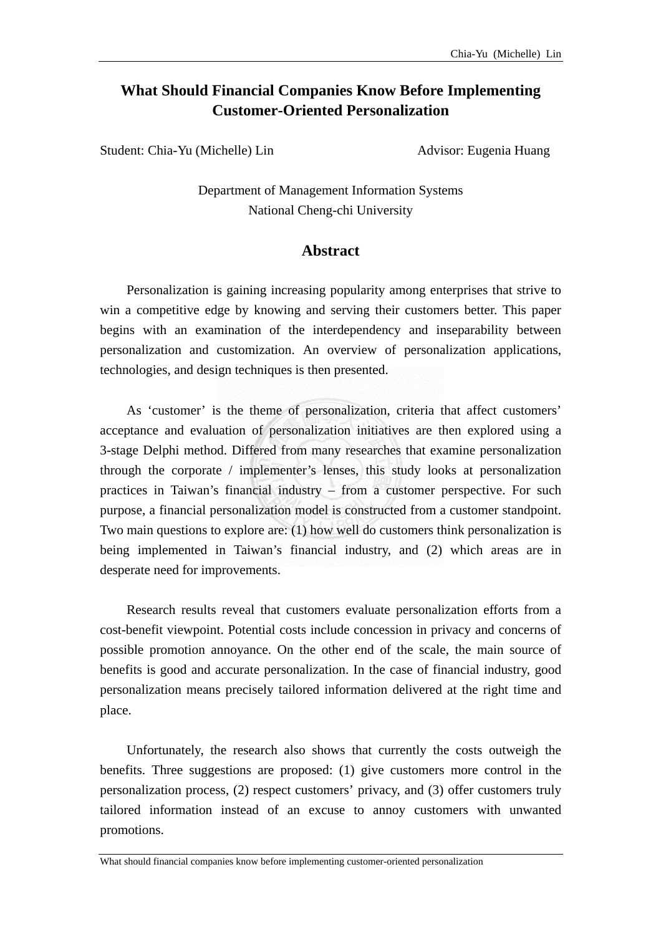## **What Should Financial Companies Know Before Implementing Customer-Oriented Personalization**

Student: Chia-Yu (Michelle) Lin Advisor: Eugenia Huang

Department of Management Information Systems National Cheng-chi University

## **Abstract**

Personalization is gaining increasing popularity among enterprises that strive to win a competitive edge by knowing and serving their customers better. This paper begins with an examination of the interdependency and inseparability between personalization and customization. An overview of personalization applications, technologies, and design techniques is then presented.

 As 'customer' is the theme of personalization, criteria that affect customers' acceptance and evaluation of personalization initiatives are then explored using a 3-stage Delphi method. Differed from many researches that examine personalization through the corporate / implementer's lenses, this study looks at personalization practices in Taiwan's financial industry – from a customer perspective. For such purpose, a financial personalization model is constructed from a customer standpoint. Two main questions to explore are: (1) how well do customers think personalization is being implemented in Taiwan's financial industry, and (2) which areas are in desperate need for improvements.

 Research results reveal that customers evaluate personalization efforts from a cost-benefit viewpoint. Potential costs include concession in privacy and concerns of possible promotion annoyance. On the other end of the scale, the main source of benefits is good and accurate personalization. In the case of financial industry, good personalization means precisely tailored information delivered at the right time and place.

Unfortunately, the research also shows that currently the costs outweigh the benefits. Three suggestions are proposed: (1) give customers more control in the personalization process, (2) respect customers' privacy, and (3) offer customers truly tailored information instead of an excuse to annoy customers with unwanted promotions.

What should financial companies know before implementing customer-oriented personalization